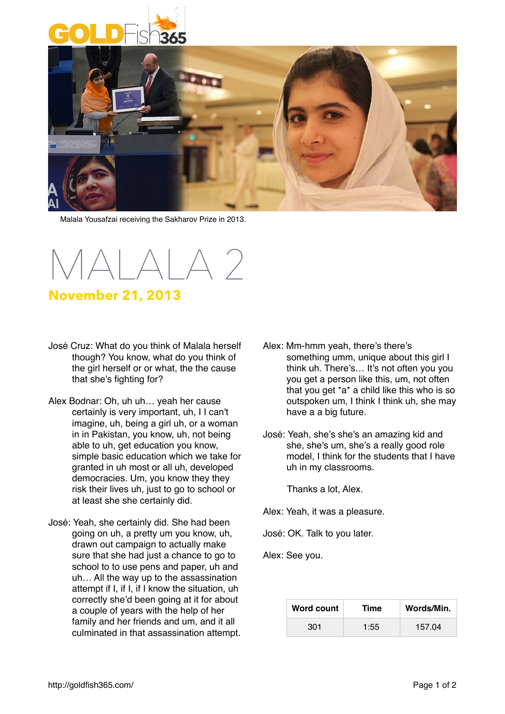



Malala Yousafzai receiving the Sakharov Prize in 2013.

 $A A A$ 

## **November 21, 2013**

- José Cruz: What do you think of Malala herself though? You know, what do you think of the girl herself or or what, the the cause that she's fighting for?
- Alex Bodnar: Oh, uh uh… yeah her cause certainly is very important, uh, I I can't imagine, uh, being a girl uh, or a woman in in Pakistan, you know, uh, not being able to uh, get education you know, simple basic education which we take for granted in uh most or all uh, developed democracies. Um, you know they they risk their lives uh, just to go to school or at least she she certainly did.
- José: Yeah, she certainly did. She had been going on uh, a pretty um you know, uh, drawn out campaign to actually make sure that she had just a chance to go to school to to use pens and paper, uh and uh… All the way up to the assassination attempt if I, if I, if I know the situation, uh correctly she'd been going at it for about a couple of years with the help of her family and her friends and um, and it all culminated in that assassination attempt.
- Alex: Mm-hmm yeah, there's there's something umm, unique about this girl I think uh. There's… It's not often you you you get a person like this, um, not often that you get \*a\* a child like this who is so outspoken um, I think I think uh, she may have a a big future.
- José: Yeah, she's she's an amazing kid and she, she's um, she's a really good role model, I think for the students that I have uh in my classrooms.

Thanks a lot, Alex.

Alex: Yeah, it was a pleasure.

José: OK. Talk to you later.

Alex: See you.

| Word count | <b>Time</b> | Words/Min. |
|------------|-------------|------------|
| 301        | 1:55        | 157.04     |